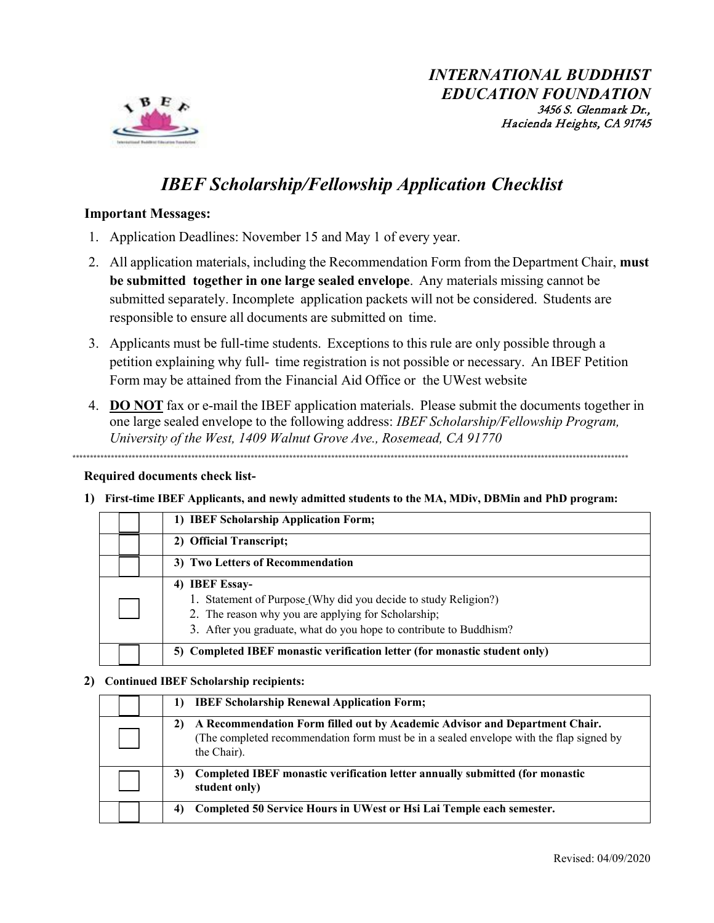

# **IBEF Scholarship/Fellowship Application Checklist**

### **Important Messages:**

- 1. Application Deadlines: November 15 and May 1 of every year.
- 2. All application materials, including the Recommendation Form from the Department Chair, must be submitted together in one large sealed envelope. Any materials missing cannot be submitted separately. Incomplete application packets will not be considered. Students are responsible to ensure all documents are submitted on time.
- 3. Applicants must be full-time students. Exceptions to this rule are only possible through a petition explaining why full- time registration is not possible or necessary. An IBEF Petition Form may be attained from the Financial Aid Office or the UWest website
- 4. DO NOT fax or e-mail the IBEF application materials. Please submit the documents together in one large sealed envelope to the following address: IBEF Scholarship/Fellowship Program, University of the West, 1409 Walnut Grove Ave., Rosemead, CA 91770

### **Required documents check list-**

1) First-time IBEF Applicants, and newly admitted students to the MA, MDiv, DBMin and PhD program:

|                         | 1) IBEF Scholarship Application Form;                                                                                                                                                                          |  |  |  |  |
|-------------------------|----------------------------------------------------------------------------------------------------------------------------------------------------------------------------------------------------------------|--|--|--|--|
| 2) Official Transcript; |                                                                                                                                                                                                                |  |  |  |  |
|                         | 3) Two Letters of Recommendation                                                                                                                                                                               |  |  |  |  |
|                         | 4) IBEF Essay-<br>1. Statement of Purpose (Why did you decide to study Religion?)<br>2. The reason why you are applying for Scholarship;<br>3. After you graduate, what do you hope to contribute to Buddhism? |  |  |  |  |
|                         | 5) Completed IBEF monastic verification letter (for monastic student only)                                                                                                                                     |  |  |  |  |

#### 2) Continued IBEF Scholarship recipients:

| <b>IBEF Scholarship Renewal Application Form;</b><br>1)                                                                                                                                    |
|--------------------------------------------------------------------------------------------------------------------------------------------------------------------------------------------|
| A Recommendation Form filled out by Academic Advisor and Department Chair.<br>2)<br>(The completed recommendation form must be in a sealed envelope with the flap signed by<br>the Chair). |
| Completed IBEF monastic verification letter annually submitted (for monastic<br>3)<br>student only)                                                                                        |
| Completed 50 Service Hours in UWest or Hsi Lai Temple each semester.<br>4)                                                                                                                 |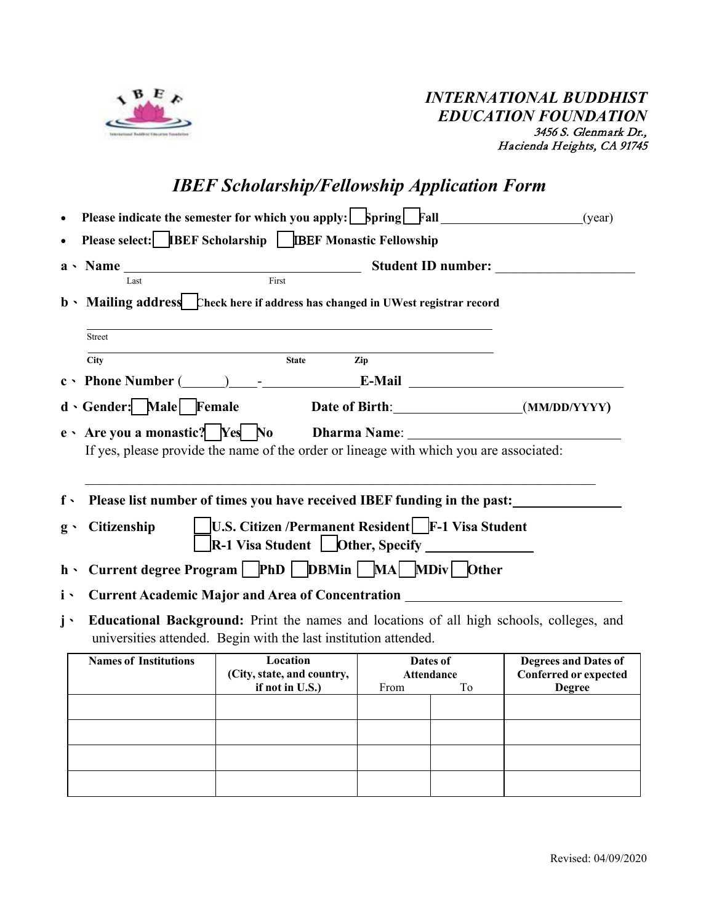

# *IBEF Scholarship/Fellowship Application Form*

| $\bullet$       |                                                                                                                                                              | <b>Please indicate the semester for which you apply: Spring</b> Fall <u>Fall</u> (year) |                    |                |                                                                              |  |  |  |  |
|-----------------|--------------------------------------------------------------------------------------------------------------------------------------------------------------|-----------------------------------------------------------------------------------------|--------------------|----------------|------------------------------------------------------------------------------|--|--|--|--|
|                 | Please select: <b>IBEF Scholarship</b>   <b>IBEF Monastic Fellowship</b>                                                                                     |                                                                                         |                    |                |                                                                              |  |  |  |  |
|                 |                                                                                                                                                              |                                                                                         |                    |                | <b>Student ID number:</b>                                                    |  |  |  |  |
|                 | $\overline{\text{First}}$<br>Last<br>b • Mailing address Check here if address has changed in UWest registrar record                                         |                                                                                         |                    |                |                                                                              |  |  |  |  |
|                 | Street                                                                                                                                                       |                                                                                         |                    |                |                                                                              |  |  |  |  |
|                 | <b>City</b>                                                                                                                                                  | <b>State</b>                                                                            | Zip                |                |                                                                              |  |  |  |  |
|                 |                                                                                                                                                              | $c \cdot$ Phone Number $(\_\_)$ - E-Mail E-Mail                                         |                    |                |                                                                              |  |  |  |  |
|                 | d Gender: Male Female                                                                                                                                        | Date of Birth: (MM/DD/YYYY)                                                             |                    |                |                                                                              |  |  |  |  |
|                 | If yes, please provide the name of the order or lineage with which you are associated:                                                                       |                                                                                         |                    |                |                                                                              |  |  |  |  |
| $f \cdot$       |                                                                                                                                                              | Please list number of times you have received IBEF funding in the past:                 |                    |                |                                                                              |  |  |  |  |
| $g \rightarrow$ | <b>U.S. Citizen /Permanent Resident</b> F-1 Visa Student<br><b>Citizenship</b><br>R-1 Visa Student LOther, Specify ______________                            |                                                                                         |                    |                |                                                                              |  |  |  |  |
| $h \cdot$       |                                                                                                                                                              | Current degree Program PhD DBMin MA MDiv Other                                          |                    |                |                                                                              |  |  |  |  |
| $\mathbf{i}$ ,  | Current Academic Major and Area of Concentration _______________________________                                                                             |                                                                                         |                    |                |                                                                              |  |  |  |  |
| $\mathbf{i}$ .  | Educational Background: Print the names and locations of all high schools, colleges, and<br>universities attended. Begin with the last institution attended. |                                                                                         |                    |                |                                                                              |  |  |  |  |
|                 | <b>Names of Institutions</b>                                                                                                                                 | Location<br>(City, state, and country,<br>if not in $U.S.$ )                            | Attendance<br>From | Dates of<br>To | <b>Degrees and Dates of</b><br><b>Conferred or expected</b><br><b>Degree</b> |  |  |  |  |
|                 |                                                                                                                                                              |                                                                                         |                    |                |                                                                              |  |  |  |  |